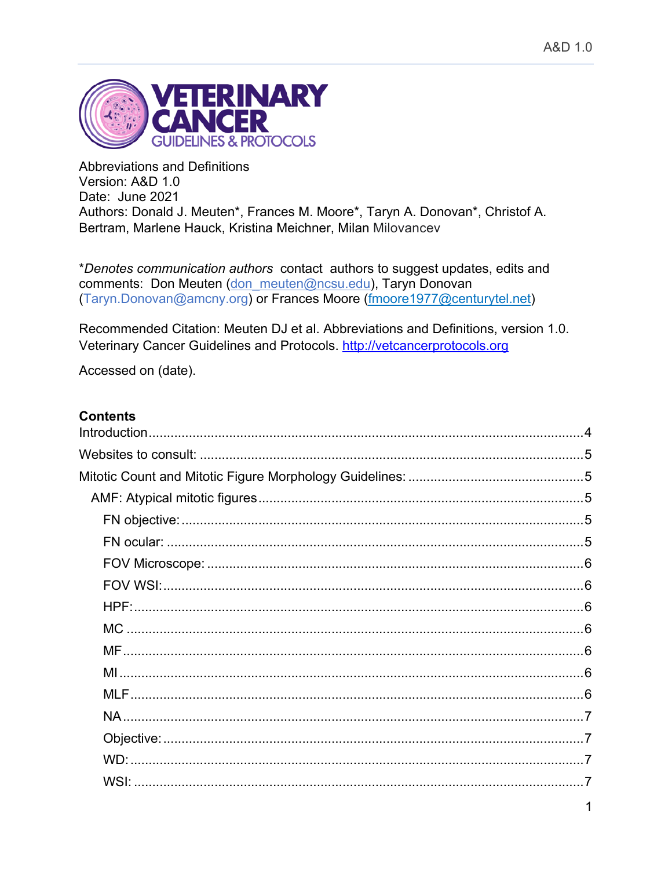

**Abbreviations and Definitions** Version: A&D 1.0 Date: June 2021 Authors: Donald J. Meuten\*, Frances M. Moore\*, Taryn A. Donovan\*, Christof A. Bertram, Marlene Hauck, Kristina Meichner, Milan Milovancev

\*Denotes communication authors contact authors to suggest updates, edits and comments: Don Meuten (don meuten@ncsu.edu), Taryn Donovan (Taryn.Donovan@amcny.org) or Frances Moore (fmoore1977@centurytel.net)

Recommended Citation: Meuten DJ et al. Abbreviations and Definitions, version 1.0. Veterinary Cancer Guidelines and Protocols. http://vetcancerprotocols.org

Accessed on (date).

## **Contents**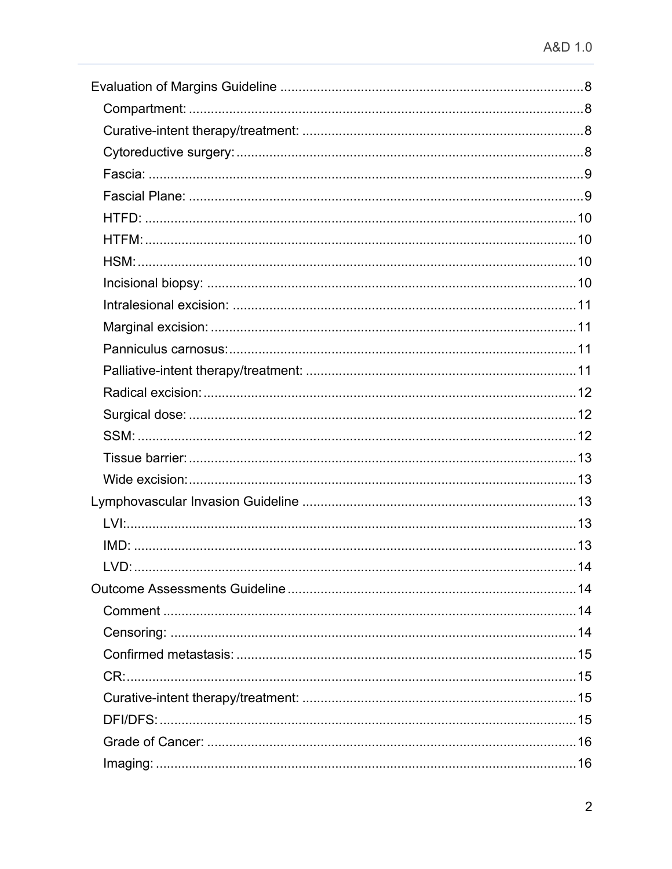| LVD: | 14 |
|------|----|
|      |    |
|      |    |
|      |    |
|      |    |
|      |    |
|      |    |
|      |    |
|      |    |
|      |    |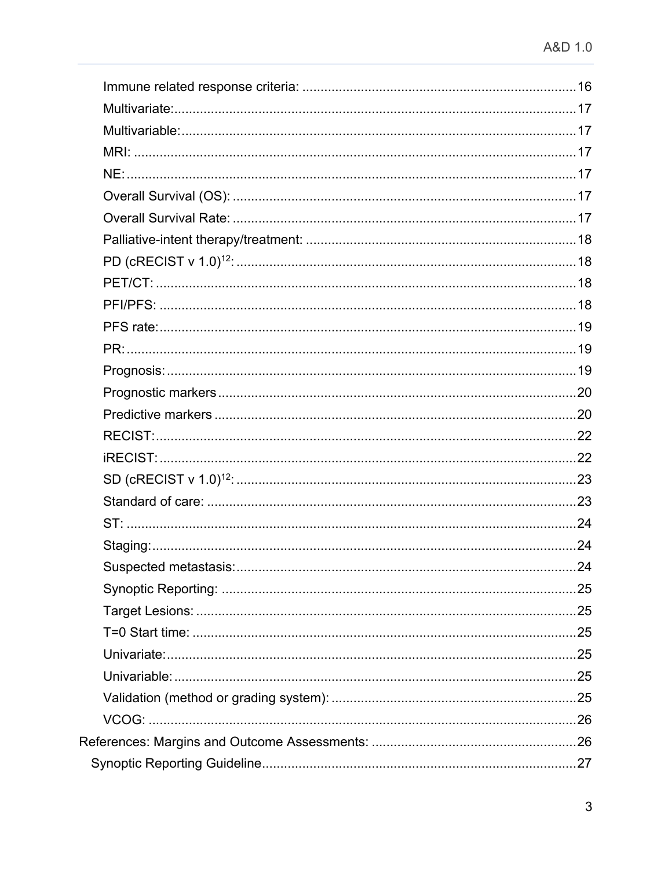| Suspected metastasis: | $\dots$ 24 |
|-----------------------|------------|
|                       |            |
|                       |            |
|                       |            |
|                       |            |
|                       |            |
|                       |            |
|                       |            |
|                       |            |
|                       |            |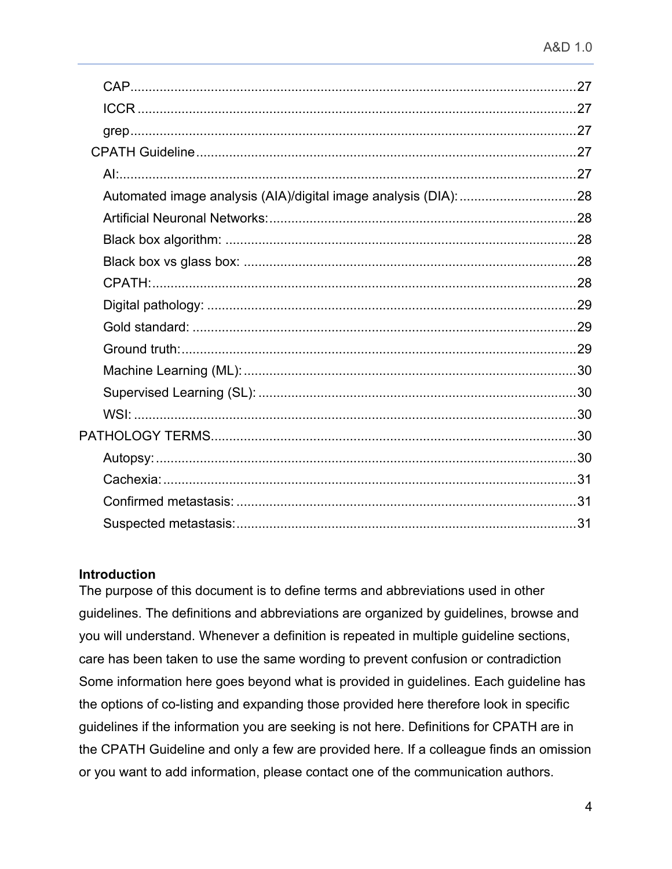### **Introduction**

The purpose of this document is to define terms and abbreviations used in other guidelines. The definitions and abbreviations are organized by guidelines, browse and you will understand. Whenever a definition is repeated in multiple guideline sections, care has been taken to use the same wording to prevent confusion or contradiction Some information here goes beyond what is provided in guidelines. Each guideline has the options of co-listing and expanding those provided here therefore look in specific guidelines if the information you are seeking is not here. Definitions for CPATH are in the CPATH Guideline and only a few are provided here. If a colleague finds an omission or you want to add information, please contact one of the communication authors.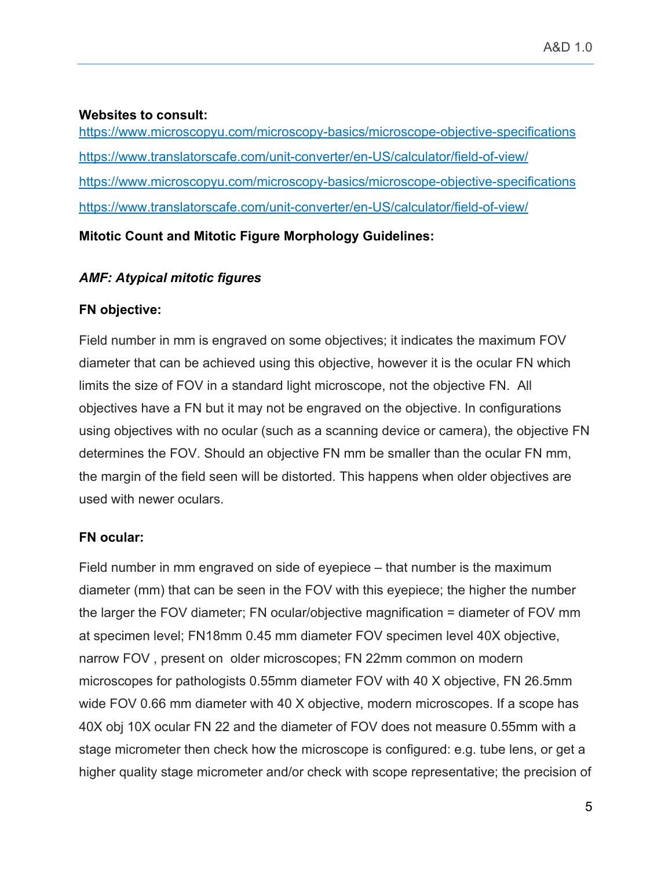#### **Websites to consult:**

https://www.microscopyu.com/microscopy-basics/microscope-objective-specifications https://www.translatorscafe.com/unit-converter/en-US/calculator/field-of-view/ https://www.microscopyu.com/microscopy-basics/microscope-objective-specifications https://www.translatorscafe.com/unit-converter/en-US/calculator/field-of-view/

**Mitotic Count and Mitotic Figure Morphology Guidelines:**

### *AMF: Atypical mitotic figures*

### **FN objective:**

Field number in mm is engraved on some objectives; it indicates the maximum FOV diameter that can be achieved using this objective, however it is the ocular FN which limits the size of FOV in a standard light microscope, not the objective FN. All objectives have a FN but it may not be engraved on the objective. In configurations using objectives with no ocular (such as a scanning device or camera), the objective FN determines the FOV. Should an objective FN mm be smaller than the ocular FN mm, the margin of the field seen will be distorted. This happens when older objectives are used with newer oculars.

## **FN ocular:**

Field number in mm engraved on side of eyepiece – that number is the maximum diameter (mm) that can be seen in the FOV with this eyepiece; the higher the number the larger the FOV diameter; FN ocular/objective magnification = diameter of FOV mm at specimen level; FN18mm 0.45 mm diameter FOV specimen level 40X objective, narrow FOV , present on older microscopes; FN 22mm common on modern microscopes for pathologists 0.55mm diameter FOV with 40 X objective, FN 26.5mm wide FOV 0.66 mm diameter with 40 X objective, modern microscopes. If a scope has 40X obj 10X ocular FN 22 and the diameter of FOV does not measure 0.55mm with a stage micrometer then check how the microscope is configured: e.g. tube lens, or get a higher quality stage micrometer and/or check with scope representative; the precision of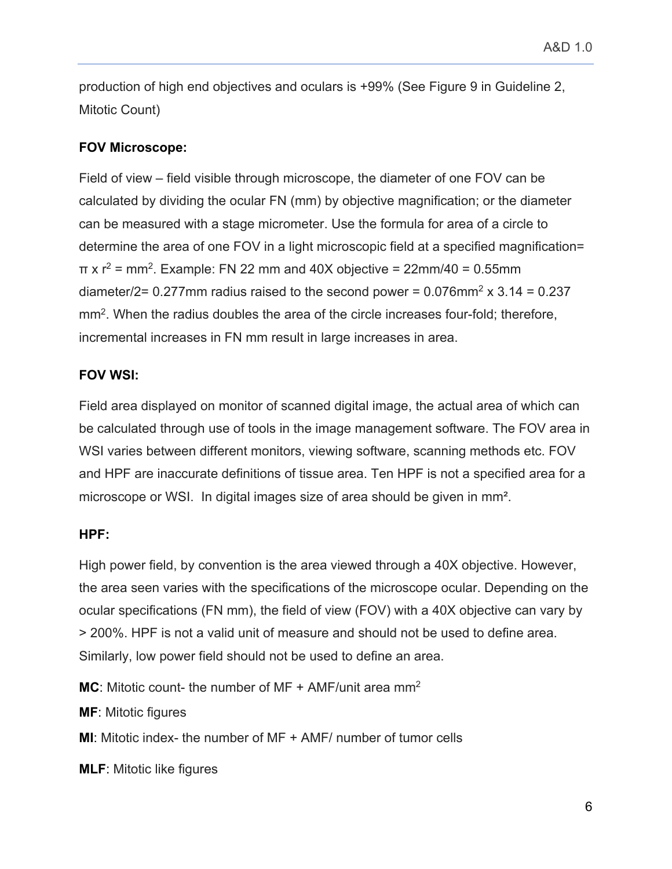production of high end objectives and oculars is +99% (See Figure 9 in Guideline 2, Mitotic Count)

## **FOV Microscope:**

Field of view – field visible through microscope, the diameter of one FOV can be calculated by dividing the ocular FN (mm) by objective magnification; or the diameter can be measured with a stage micrometer. Use the formula for area of a circle to determine the area of one FOV in a light microscopic field at a specified magnification=  $\pi$  x  $r^2$  = mm<sup>2</sup>. Example: FN 22 mm and 40X objective = 22mm/40 = 0.55mm diameter/2= 0.277mm radius raised to the second power =  $0.076$ mm<sup>2</sup> x  $3.14 = 0.237$ mm2. When the radius doubles the area of the circle increases four-fold; therefore, incremental increases in FN mm result in large increases in area.

### **FOV WSI:**

Field area displayed on monitor of scanned digital image, the actual area of which can be calculated through use of tools in the image management software. The FOV area in WSI varies between different monitors, viewing software, scanning methods etc. FOV and HPF are inaccurate definitions of tissue area. Ten HPF is not a specified area for a microscope or WSI. In digital images size of area should be given in mm².

## **HPF:**

High power field, by convention is the area viewed through a 40X objective. However, the area seen varies with the specifications of the microscope ocular. Depending on the ocular specifications (FN mm), the field of view (FOV) with a 40X objective can vary by > 200%. HPF is not a valid unit of measure and should not be used to define area. Similarly, low power field should not be used to define an area.

**MC**: Mitotic count- the number of MF + AMF/unit area mm<sup>2</sup>

**MF**: Mitotic figures

**MI**: Mitotic index- the number of MF + AMF/ number of tumor cells

**MLF**: Mitotic like figures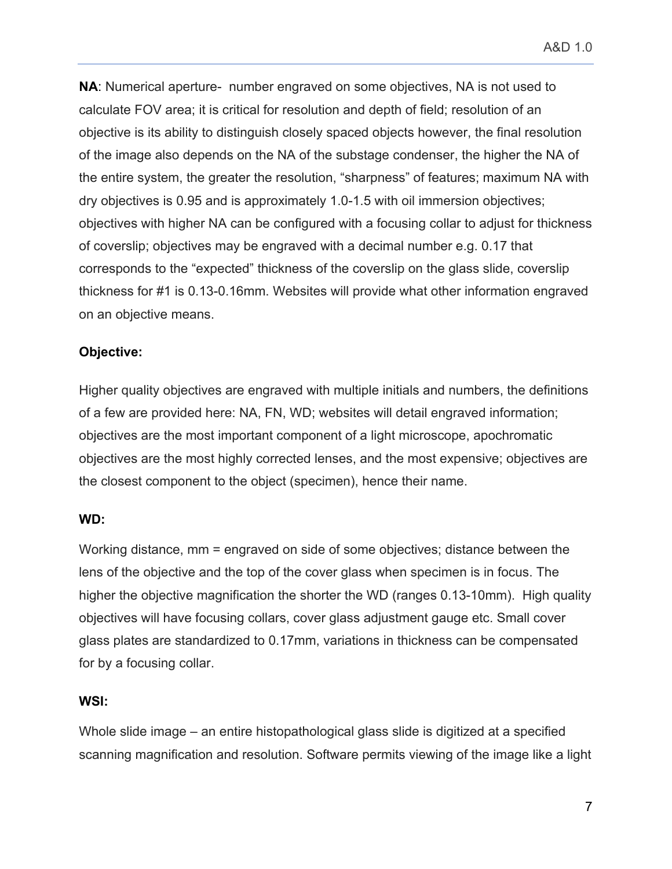**NA**: Numerical aperture- number engraved on some objectives, NA is not used to calculate FOV area; it is critical for resolution and depth of field; resolution of an objective is its ability to distinguish closely spaced objects however, the final resolution of the image also depends on the NA of the substage condenser, the higher the NA of the entire system, the greater the resolution, "sharpness" of features; maximum NA with dry objectives is 0.95 and is approximately 1.0-1.5 with oil immersion objectives; objectives with higher NA can be configured with a focusing collar to adjust for thickness of coverslip; objectives may be engraved with a decimal number e.g. 0.17 that corresponds to the "expected" thickness of the coverslip on the glass slide, coverslip thickness for #1 is 0.13-0.16mm. Websites will provide what other information engraved on an objective means.

### **Objective:**

Higher quality objectives are engraved with multiple initials and numbers, the definitions of a few are provided here: NA, FN, WD; websites will detail engraved information; objectives are the most important component of a light microscope, apochromatic objectives are the most highly corrected lenses, and the most expensive; objectives are the closest component to the object (specimen), hence their name.

### **WD:**

Working distance, mm = engraved on side of some objectives; distance between the lens of the objective and the top of the cover glass when specimen is in focus. The higher the objective magnification the shorter the WD (ranges 0.13-10mm). High quality objectives will have focusing collars, cover glass adjustment gauge etc. Small cover glass plates are standardized to 0.17mm, variations in thickness can be compensated for by a focusing collar.

### **WSI:**

Whole slide image – an entire histopathological glass slide is digitized at a specified scanning magnification and resolution. Software permits viewing of the image like a light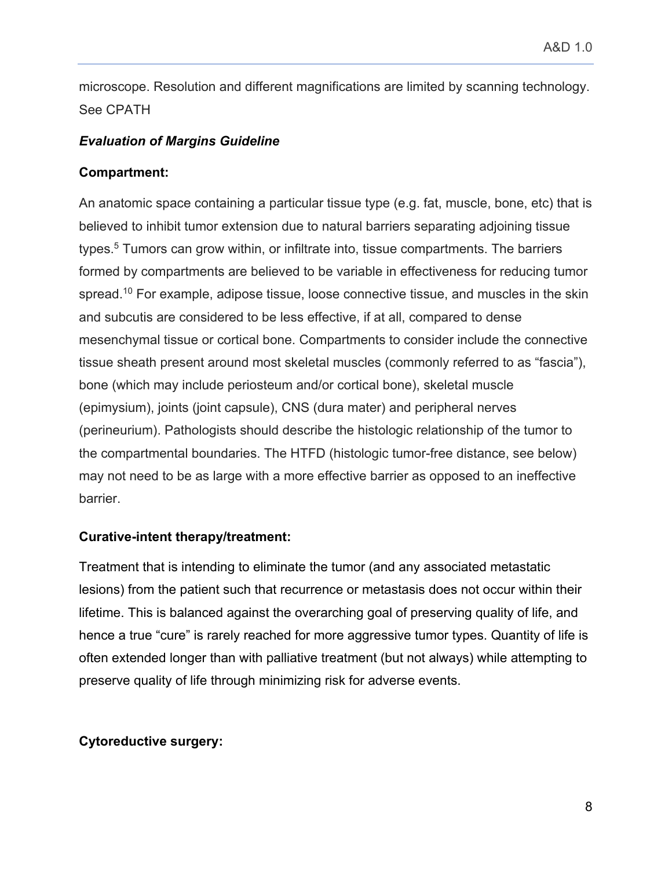microscope. Resolution and different magnifications are limited by scanning technology. See CPATH

### *Evaluation of Margins Guideline*

### **Compartment:**

An anatomic space containing a particular tissue type (e.g. fat, muscle, bone, etc) that is believed to inhibit tumor extension due to natural barriers separating adjoining tissue types.<sup>5</sup> Tumors can grow within, or infiltrate into, tissue compartments. The barriers formed by compartments are believed to be variable in effectiveness for reducing tumor spread.<sup>10</sup> For example, adipose tissue, loose connective tissue, and muscles in the skin and subcutis are considered to be less effective, if at all, compared to dense mesenchymal tissue or cortical bone. Compartments to consider include the connective tissue sheath present around most skeletal muscles (commonly referred to as "fascia"), bone (which may include periosteum and/or cortical bone), skeletal muscle (epimysium), joints (joint capsule), CNS (dura mater) and peripheral nerves (perineurium). Pathologists should describe the histologic relationship of the tumor to the compartmental boundaries. The HTFD (histologic tumor-free distance, see below) may not need to be as large with a more effective barrier as opposed to an ineffective barrier.

## **Curative-intent therapy/treatment:**

Treatment that is intending to eliminate the tumor (and any associated metastatic lesions) from the patient such that recurrence or metastasis does not occur within their lifetime. This is balanced against the overarching goal of preserving quality of life, and hence a true "cure" is rarely reached for more aggressive tumor types. Quantity of life is often extended longer than with palliative treatment (but not always) while attempting to preserve quality of life through minimizing risk for adverse events.

## **Cytoreductive surgery:**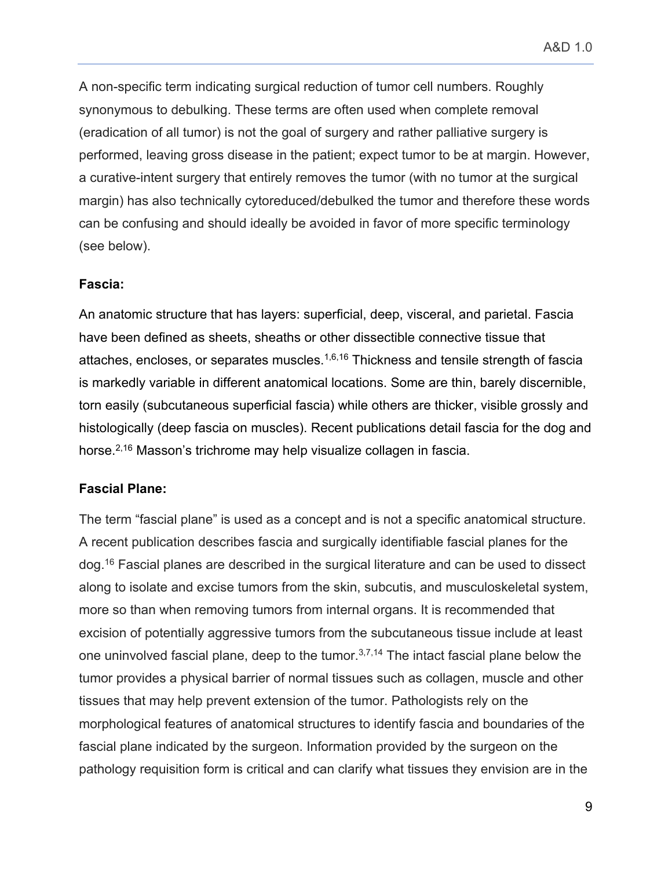A non-specific term indicating surgical reduction of tumor cell numbers. Roughly synonymous to debulking. These terms are often used when complete removal (eradication of all tumor) is not the goal of surgery and rather palliative surgery is performed, leaving gross disease in the patient; expect tumor to be at margin. However, a curative-intent surgery that entirely removes the tumor (with no tumor at the surgical margin) has also technically cytoreduced/debulked the tumor and therefore these words can be confusing and should ideally be avoided in favor of more specific terminology (see below).

#### **Fascia:**

An anatomic structure that has layers: superficial, deep, visceral, and parietal. Fascia have been defined as sheets, sheaths or other dissectible connective tissue that attaches, encloses, or separates muscles. $1,6,16$  Thickness and tensile strength of fascia is markedly variable in different anatomical locations. Some are thin, barely discernible, torn easily (subcutaneous superficial fascia) while others are thicker, visible grossly and histologically (deep fascia on muscles). Recent publications detail fascia for the dog and horse.<sup>2,16</sup> Masson's trichrome may help visualize collagen in fascia.

### **Fascial Plane:**

The term "fascial plane" is used as a concept and is not a specific anatomical structure. A recent publication describes fascia and surgically identifiable fascial planes for the dog.16 Fascial planes are described in the surgical literature and can be used to dissect along to isolate and excise tumors from the skin, subcutis, and musculoskeletal system, more so than when removing tumors from internal organs. It is recommended that excision of potentially aggressive tumors from the subcutaneous tissue include at least one uninvolved fascial plane, deep to the tumor.<sup>3,7,14</sup> The intact fascial plane below the tumor provides a physical barrier of normal tissues such as collagen, muscle and other tissues that may help prevent extension of the tumor. Pathologists rely on the morphological features of anatomical structures to identify fascia and boundaries of the fascial plane indicated by the surgeon. Information provided by the surgeon on the pathology requisition form is critical and can clarify what tissues they envision are in the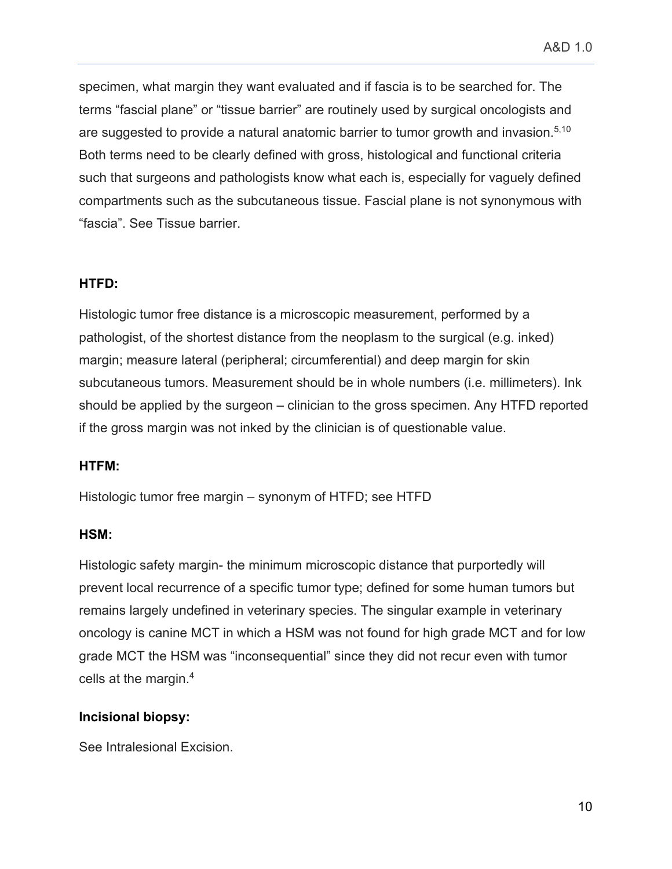specimen, what margin they want evaluated and if fascia is to be searched for. The terms "fascial plane" or "tissue barrier" are routinely used by surgical oncologists and are suggested to provide a natural anatomic barrier to tumor growth and invasion.<sup>5,10</sup> Both terms need to be clearly defined with gross, histological and functional criteria such that surgeons and pathologists know what each is, especially for vaguely defined compartments such as the subcutaneous tissue. Fascial plane is not synonymous with "fascia". See Tissue barrier.

### **HTFD:**

Histologic tumor free distance is a microscopic measurement, performed by a pathologist, of the shortest distance from the neoplasm to the surgical (e.g. inked) margin; measure lateral (peripheral; circumferential) and deep margin for skin subcutaneous tumors. Measurement should be in whole numbers (i.e. millimeters). Ink should be applied by the surgeon – clinician to the gross specimen. Any HTFD reported if the gross margin was not inked by the clinician is of questionable value.

### **HTFM:**

Histologic tumor free margin – synonym of HTFD; see HTFD

### **HSM:**

Histologic safety margin- the minimum microscopic distance that purportedly will prevent local recurrence of a specific tumor type; defined for some human tumors but remains largely undefined in veterinary species. The singular example in veterinary oncology is canine MCT in which a HSM was not found for high grade MCT and for low grade MCT the HSM was "inconsequential" since they did not recur even with tumor cells at the margin.4

### **Incisional biopsy:**

See Intralesional Excision.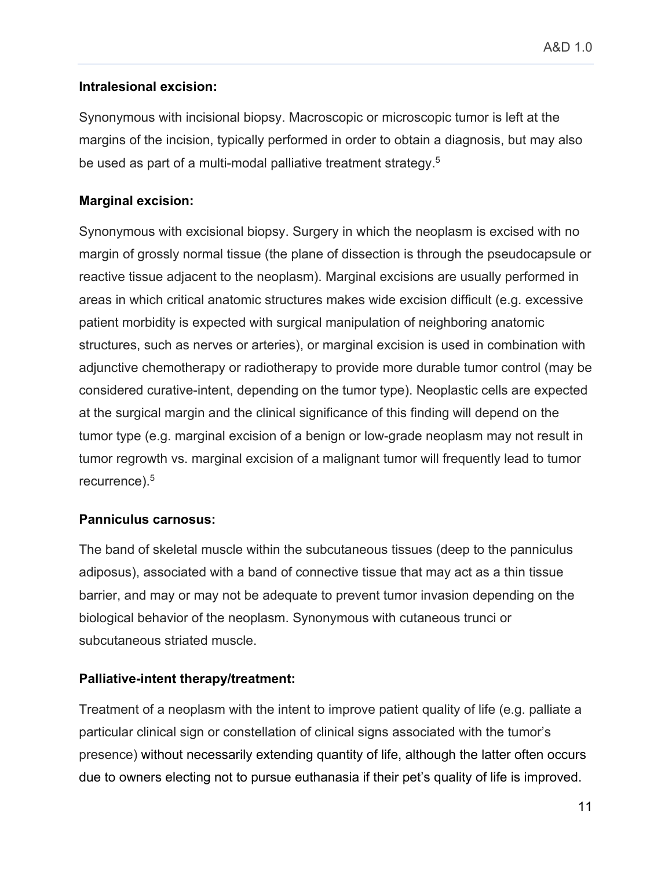## **Intralesional excision:**

Synonymous with incisional biopsy. Macroscopic or microscopic tumor is left at the margins of the incision, typically performed in order to obtain a diagnosis, but may also be used as part of a multi-modal palliative treatment strategy.<sup>5</sup>

### **Marginal excision:**

Synonymous with excisional biopsy. Surgery in which the neoplasm is excised with no margin of grossly normal tissue (the plane of dissection is through the pseudocapsule or reactive tissue adjacent to the neoplasm). Marginal excisions are usually performed in areas in which critical anatomic structures makes wide excision difficult (e.g. excessive patient morbidity is expected with surgical manipulation of neighboring anatomic structures, such as nerves or arteries), or marginal excision is used in combination with adjunctive chemotherapy or radiotherapy to provide more durable tumor control (may be considered curative-intent, depending on the tumor type). Neoplastic cells are expected at the surgical margin and the clinical significance of this finding will depend on the tumor type (e.g. marginal excision of a benign or low-grade neoplasm may not result in tumor regrowth vs. marginal excision of a malignant tumor will frequently lead to tumor recurrence). 5

## **Panniculus carnosus:**

The band of skeletal muscle within the subcutaneous tissues (deep to the panniculus adiposus), associated with a band of connective tissue that may act as a thin tissue barrier, and may or may not be adequate to prevent tumor invasion depending on the biological behavior of the neoplasm. Synonymous with cutaneous trunci or subcutaneous striated muscle.

## **Palliative-intent therapy/treatment:**

Treatment of a neoplasm with the intent to improve patient quality of life (e.g. palliate a particular clinical sign or constellation of clinical signs associated with the tumor's presence) without necessarily extending quantity of life, although the latter often occurs due to owners electing not to pursue euthanasia if their pet's quality of life is improved.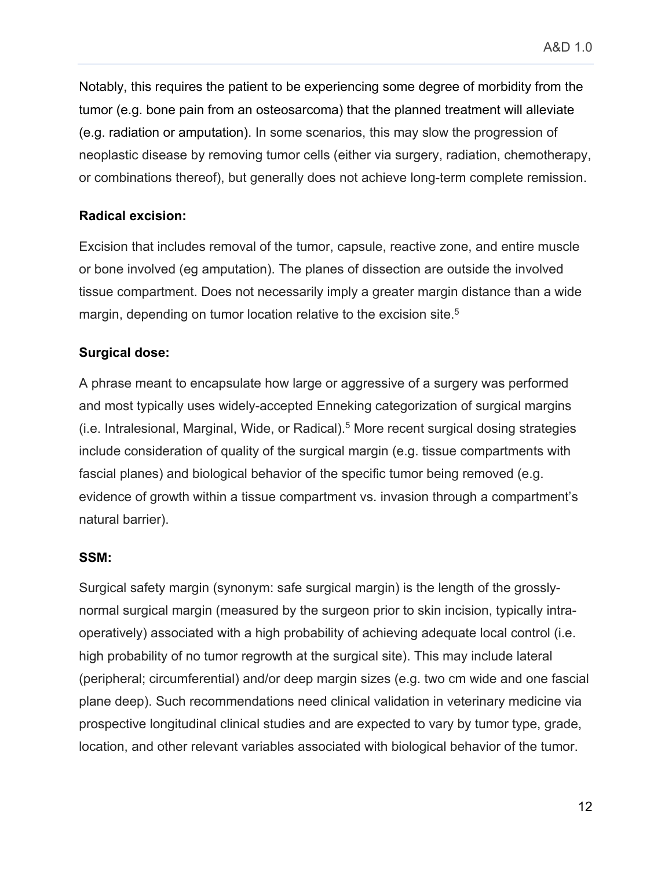Notably, this requires the patient to be experiencing some degree of morbidity from the tumor (e.g. bone pain from an osteosarcoma) that the planned treatment will alleviate (e.g. radiation or amputation). In some scenarios, this may slow the progression of neoplastic disease by removing tumor cells (either via surgery, radiation, chemotherapy, or combinations thereof), but generally does not achieve long-term complete remission.

### **Radical excision:**

Excision that includes removal of the tumor, capsule, reactive zone, and entire muscle or bone involved (eg amputation). The planes of dissection are outside the involved tissue compartment. Does not necessarily imply a greater margin distance than a wide margin, depending on tumor location relative to the excision site.<sup>5</sup>

## **Surgical dose:**

A phrase meant to encapsulate how large or aggressive of a surgery was performed and most typically uses widely-accepted Enneking categorization of surgical margins (i.e. Intralesional, Marginal, Wide, or Radical).5 More recent surgical dosing strategies include consideration of quality of the surgical margin (e.g. tissue compartments with fascial planes) and biological behavior of the specific tumor being removed (e.g. evidence of growth within a tissue compartment vs. invasion through a compartment's natural barrier).

### **SSM:**

Surgical safety margin (synonym: safe surgical margin) is the length of the grosslynormal surgical margin (measured by the surgeon prior to skin incision, typically intraoperatively) associated with a high probability of achieving adequate local control (i.e. high probability of no tumor regrowth at the surgical site). This may include lateral (peripheral; circumferential) and/or deep margin sizes (e.g. two cm wide and one fascial plane deep). Such recommendations need clinical validation in veterinary medicine via prospective longitudinal clinical studies and are expected to vary by tumor type, grade, location, and other relevant variables associated with biological behavior of the tumor.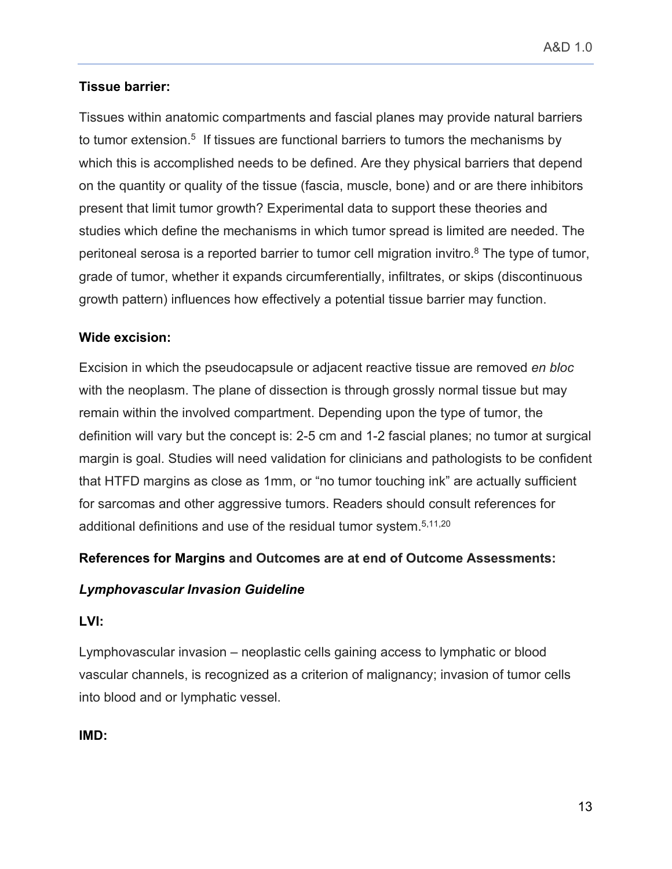## **Tissue barrier:**

Tissues within anatomic compartments and fascial planes may provide natural barriers to tumor extension.<sup>5</sup> If tissues are functional barriers to tumors the mechanisms by which this is accomplished needs to be defined. Are they physical barriers that depend on the quantity or quality of the tissue (fascia, muscle, bone) and or are there inhibitors present that limit tumor growth? Experimental data to support these theories and studies which define the mechanisms in which tumor spread is limited are needed. The peritoneal serosa is a reported barrier to tumor cell migration invitro.<sup>8</sup> The type of tumor, grade of tumor, whether it expands circumferentially, infiltrates, or skips (discontinuous growth pattern) influences how effectively a potential tissue barrier may function.

## **Wide excision:**

Excision in which the pseudocapsule or adjacent reactive tissue are removed *en bloc*  with the neoplasm. The plane of dissection is through grossly normal tissue but may remain within the involved compartment. Depending upon the type of tumor, the definition will vary but the concept is: 2-5 cm and 1-2 fascial planes; no tumor at surgical margin is goal. Studies will need validation for clinicians and pathologists to be confident that HTFD margins as close as 1mm, or "no tumor touching ink" are actually sufficient for sarcomas and other aggressive tumors. Readers should consult references for additional definitions and use of the residual tumor system.<sup>5,11,20</sup>

## **References for Margins and Outcomes are at end of Outcome Assessments:**

### *Lymphovascular Invasion Guideline*

### **LVI:**

Lymphovascular invasion – neoplastic cells gaining access to lymphatic or blood vascular channels, is recognized as a criterion of malignancy; invasion of tumor cells into blood and or lymphatic vessel.

### **IMD:**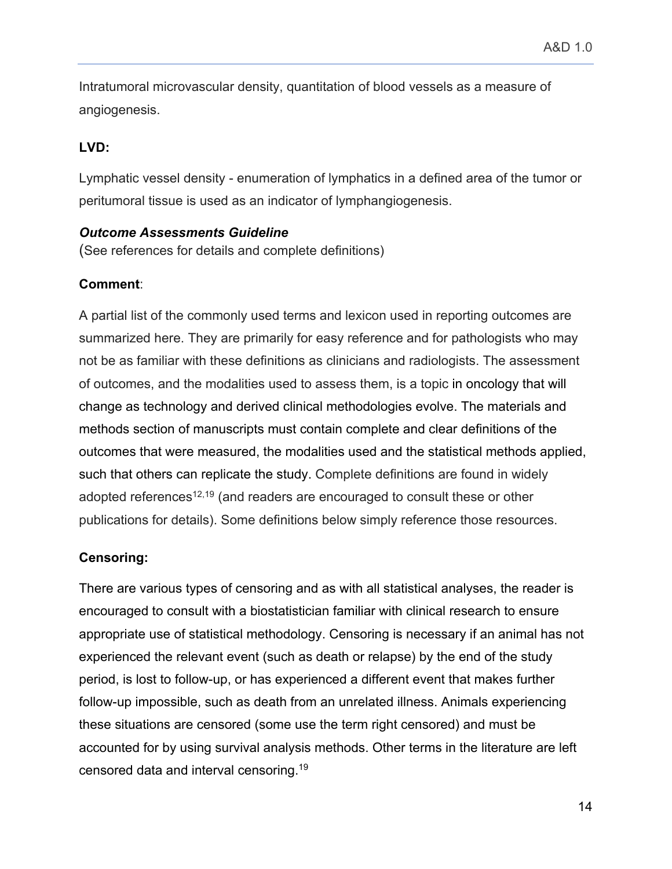Intratumoral microvascular density, quantitation of blood vessels as a measure of angiogenesis.

## **LVD:**

Lymphatic vessel density - enumeration of lymphatics in a defined area of the tumor or peritumoral tissue is used as an indicator of lymphangiogenesis.

### *Outcome Assessments Guideline*

(See references for details and complete definitions)

## **Comment**:

A partial list of the commonly used terms and lexicon used in reporting outcomes are summarized here. They are primarily for easy reference and for pathologists who may not be as familiar with these definitions as clinicians and radiologists. The assessment of outcomes, and the modalities used to assess them, is a topic in oncology that will change as technology and derived clinical methodologies evolve. The materials and methods section of manuscripts must contain complete and clear definitions of the outcomes that were measured, the modalities used and the statistical methods applied, such that others can replicate the study. Complete definitions are found in widely adopted references<sup>12,19</sup> (and readers are encouraged to consult these or other publications for details). Some definitions below simply reference those resources.

## **Censoring:**

There are various types of censoring and as with all statistical analyses, the reader is encouraged to consult with a biostatistician familiar with clinical research to ensure appropriate use of statistical methodology. Censoring is necessary if an animal has not experienced the relevant event (such as death or relapse) by the end of the study period, is lost to follow-up, or has experienced a different event that makes further follow-up impossible, such as death from an unrelated illness. Animals experiencing these situations are censored (some use the term right censored) and must be accounted for by using survival analysis methods. Other terms in the literature are left censored data and interval censoring.19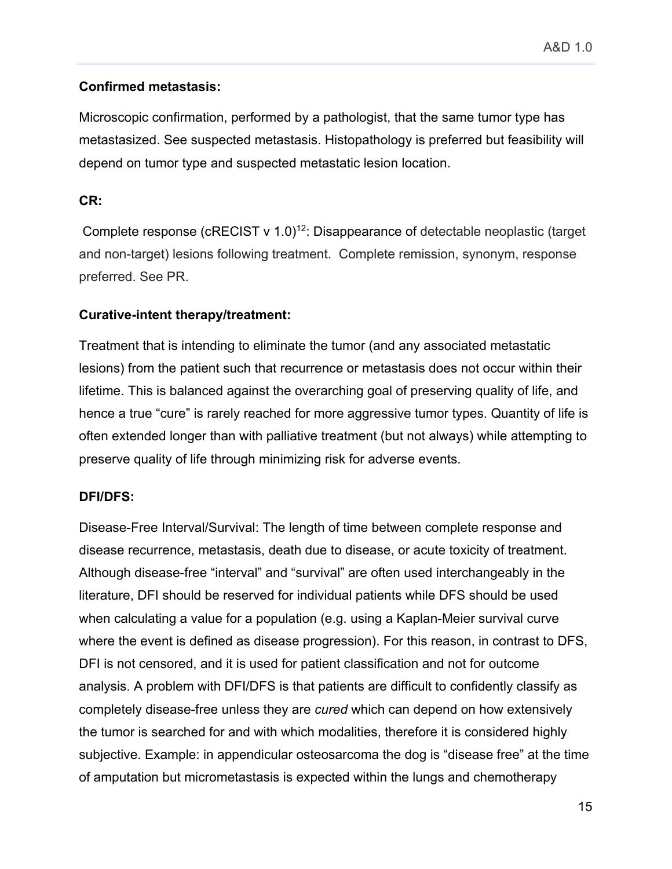## **Confirmed metastasis:**

Microscopic confirmation, performed by a pathologist, that the same tumor type has metastasized. See suspected metastasis. Histopathology is preferred but feasibility will depend on tumor type and suspected metastatic lesion location.

## **CR:**

Complete response ( $c$ RECIST v 1.0)<sup>12</sup>: Disappearance of detectable neoplastic (target and non-target) lesions following treatment. Complete remission, synonym, response preferred. See PR.

## **Curative-intent therapy/treatment:**

Treatment that is intending to eliminate the tumor (and any associated metastatic lesions) from the patient such that recurrence or metastasis does not occur within their lifetime. This is balanced against the overarching goal of preserving quality of life, and hence a true "cure" is rarely reached for more aggressive tumor types. Quantity of life is often extended longer than with palliative treatment (but not always) while attempting to preserve quality of life through minimizing risk for adverse events.

## **DFI/DFS:**

Disease-Free Interval/Survival: The length of time between complete response and disease recurrence, metastasis, death due to disease, or acute toxicity of treatment. Although disease-free "interval" and "survival" are often used interchangeably in the literature, DFI should be reserved for individual patients while DFS should be used when calculating a value for a population (e.g. using a Kaplan-Meier survival curve where the event is defined as disease progression). For this reason, in contrast to DFS, DFI is not censored, and it is used for patient classification and not for outcome analysis. A problem with DFI/DFS is that patients are difficult to confidently classify as completely disease-free unless they are *cured* which can depend on how extensively the tumor is searched for and with which modalities, therefore it is considered highly subjective. Example: in appendicular osteosarcoma the dog is "disease free" at the time of amputation but micrometastasis is expected within the lungs and chemotherapy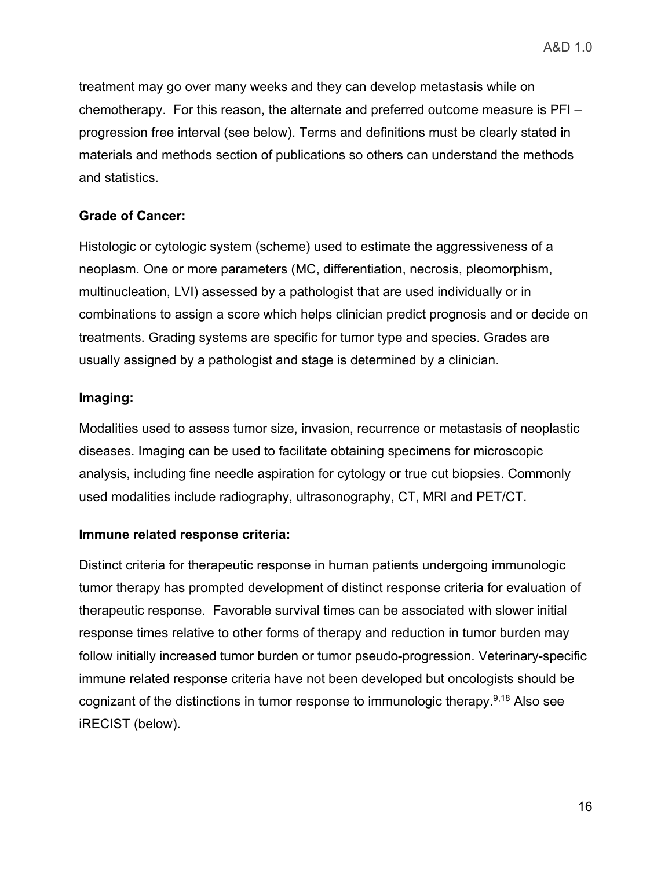treatment may go over many weeks and they can develop metastasis while on chemotherapy. For this reason, the alternate and preferred outcome measure is PFI – progression free interval (see below). Terms and definitions must be clearly stated in materials and methods section of publications so others can understand the methods and statistics.

## **Grade of Cancer:**

Histologic or cytologic system (scheme) used to estimate the aggressiveness of a neoplasm. One or more parameters (MC, differentiation, necrosis, pleomorphism, multinucleation, LVI) assessed by a pathologist that are used individually or in combinations to assign a score which helps clinician predict prognosis and or decide on treatments. Grading systems are specific for tumor type and species. Grades are usually assigned by a pathologist and stage is determined by a clinician.

### **Imaging:**

Modalities used to assess tumor size, invasion, recurrence or metastasis of neoplastic diseases. Imaging can be used to facilitate obtaining specimens for microscopic analysis, including fine needle aspiration for cytology or true cut biopsies. Commonly used modalities include radiography, ultrasonography, CT, MRI and PET/CT.

### **Immune related response criteria:**

Distinct criteria for therapeutic response in human patients undergoing immunologic tumor therapy has prompted development of distinct response criteria for evaluation of therapeutic response. Favorable survival times can be associated with slower initial response times relative to other forms of therapy and reduction in tumor burden may follow initially increased tumor burden or tumor pseudo-progression. Veterinary-specific immune related response criteria have not been developed but oncologists should be cognizant of the distinctions in tumor response to immunologic therapy.  $9,18$  Also see iRECIST (below).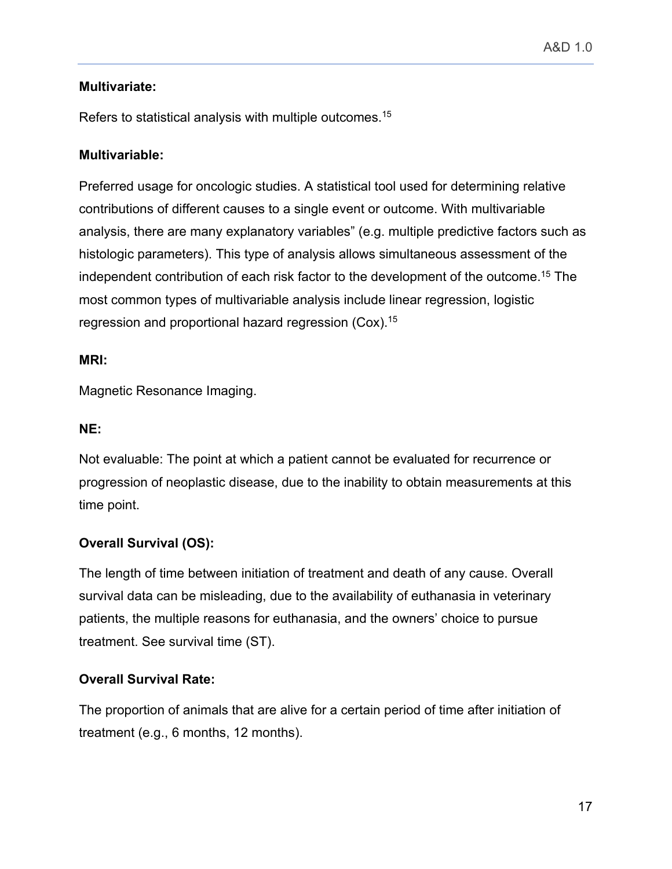## **Multivariate:**

Refers to statistical analysis with multiple outcomes.<sup>15</sup>

## **Multivariable:**

Preferred usage for oncologic studies. A statistical tool used for determining relative contributions of different causes to a single event or outcome. With multivariable analysis, there are many explanatory variables" (e.g. multiple predictive factors such as histologic parameters). This type of analysis allows simultaneous assessment of the independent contribution of each risk factor to the development of the outcome.15 The most common types of multivariable analysis include linear regression, logistic regression and proportional hazard regression (Cox).15

## **MRI:**

Magnetic Resonance Imaging.

## **NE:**

Not evaluable: The point at which a patient cannot be evaluated for recurrence or progression of neoplastic disease, due to the inability to obtain measurements at this time point.

# **Overall Survival (OS):**

The length of time between initiation of treatment and death of any cause. Overall survival data can be misleading, due to the availability of euthanasia in veterinary patients, the multiple reasons for euthanasia, and the owners' choice to pursue treatment. See survival time (ST).

# **Overall Survival Rate:**

The proportion of animals that are alive for a certain period of time after initiation of treatment (e.g., 6 months, 12 months).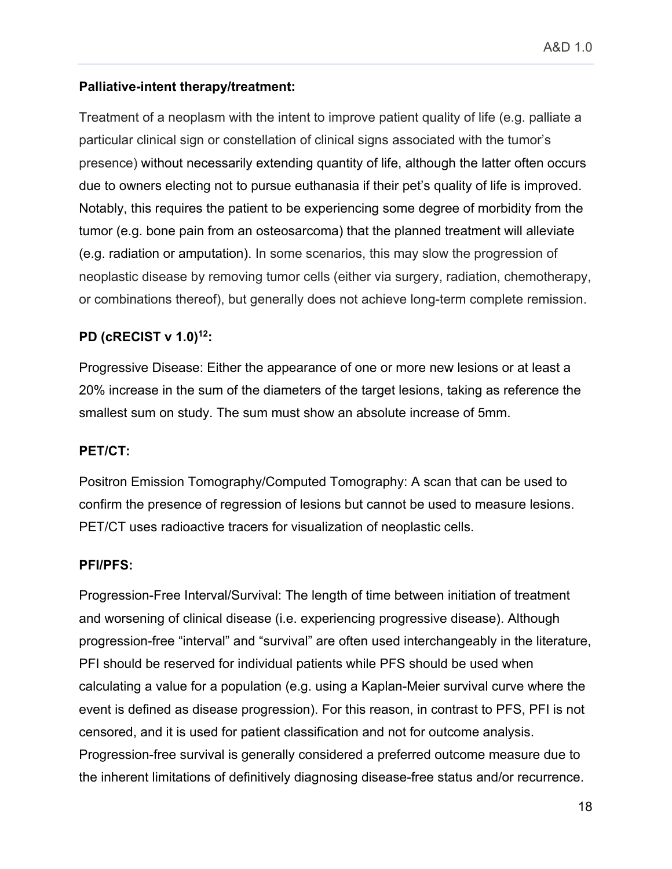## **Palliative-intent therapy/treatment:**

Treatment of a neoplasm with the intent to improve patient quality of life (e.g. palliate a particular clinical sign or constellation of clinical signs associated with the tumor's presence) without necessarily extending quantity of life, although the latter often occurs due to owners electing not to pursue euthanasia if their pet's quality of life is improved. Notably, this requires the patient to be experiencing some degree of morbidity from the tumor (e.g. bone pain from an osteosarcoma) that the planned treatment will alleviate (e.g. radiation or amputation). In some scenarios, this may slow the progression of neoplastic disease by removing tumor cells (either via surgery, radiation, chemotherapy, or combinations thereof), but generally does not achieve long-term complete remission.

# **PD (cRECIST v 1.0)12:**

Progressive Disease: Either the appearance of one or more new lesions or at least a 20% increase in the sum of the diameters of the target lesions, taking as reference the smallest sum on study. The sum must show an absolute increase of 5mm.

## **PET/CT:**

Positron Emission Tomography/Computed Tomography: A scan that can be used to confirm the presence of regression of lesions but cannot be used to measure lesions. PET/CT uses radioactive tracers for visualization of neoplastic cells.

### **PFI/PFS:**

Progression-Free Interval/Survival: The length of time between initiation of treatment and worsening of clinical disease (i.e. experiencing progressive disease). Although progression-free "interval" and "survival" are often used interchangeably in the literature, PFI should be reserved for individual patients while PFS should be used when calculating a value for a population (e.g. using a Kaplan-Meier survival curve where the event is defined as disease progression). For this reason, in contrast to PFS, PFI is not censored, and it is used for patient classification and not for outcome analysis. Progression-free survival is generally considered a preferred outcome measure due to the inherent limitations of definitively diagnosing disease-free status and/or recurrence.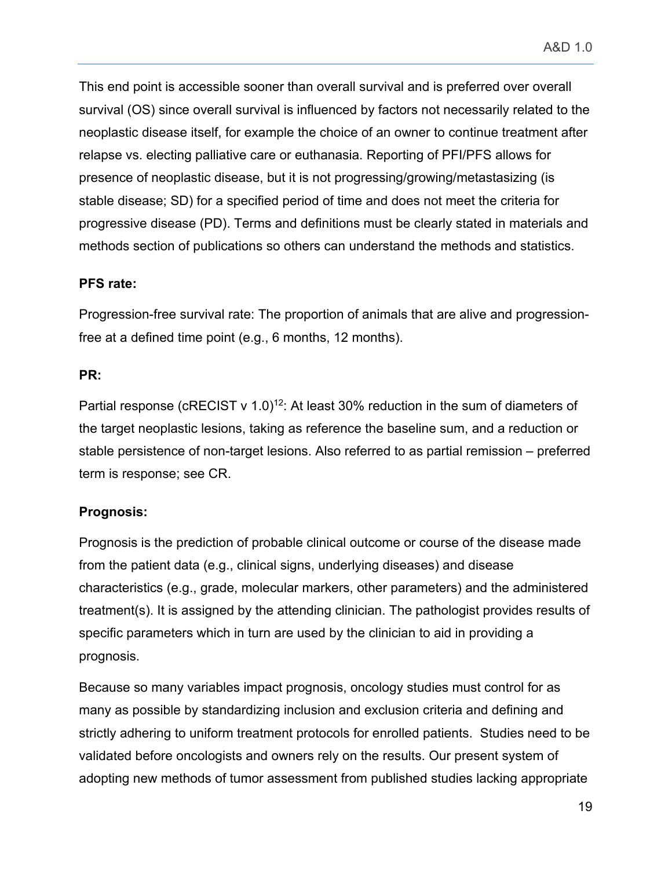This end point is accessible sooner than overall survival and is preferred over overall survival (OS) since overall survival is influenced by factors not necessarily related to the neoplastic disease itself, for example the choice of an owner to continue treatment after relapse vs. electing palliative care or euthanasia. Reporting of PFI/PFS allows for presence of neoplastic disease, but it is not progressing/growing/metastasizing (is stable disease; SD) for a specified period of time and does not meet the criteria for progressive disease (PD). Terms and definitions must be clearly stated in materials and methods section of publications so others can understand the methods and statistics.

### **PFS rate:**

Progression-free survival rate: The proportion of animals that are alive and progressionfree at a defined time point (e.g., 6 months, 12 months).

### **PR:**

Partial response (cRECIST v 1.0)<sup>12</sup>: At least 30% reduction in the sum of diameters of the target neoplastic lesions, taking as reference the baseline sum, and a reduction or stable persistence of non-target lesions. Also referred to as partial remission – preferred term is response; see CR.

## **Prognosis:**

Prognosis is the prediction of probable clinical outcome or course of the disease made from the patient data (e.g., clinical signs, underlying diseases) and disease characteristics (e.g., grade, molecular markers, other parameters) and the administered treatment(s). It is assigned by the attending clinician. The pathologist provides results of specific parameters which in turn are used by the clinician to aid in providing a prognosis.

Because so many variables impact prognosis, oncology studies must control for as many as possible by standardizing inclusion and exclusion criteria and defining and strictly adhering to uniform treatment protocols for enrolled patients. Studies need to be validated before oncologists and owners rely on the results. Our present system of adopting new methods of tumor assessment from published studies lacking appropriate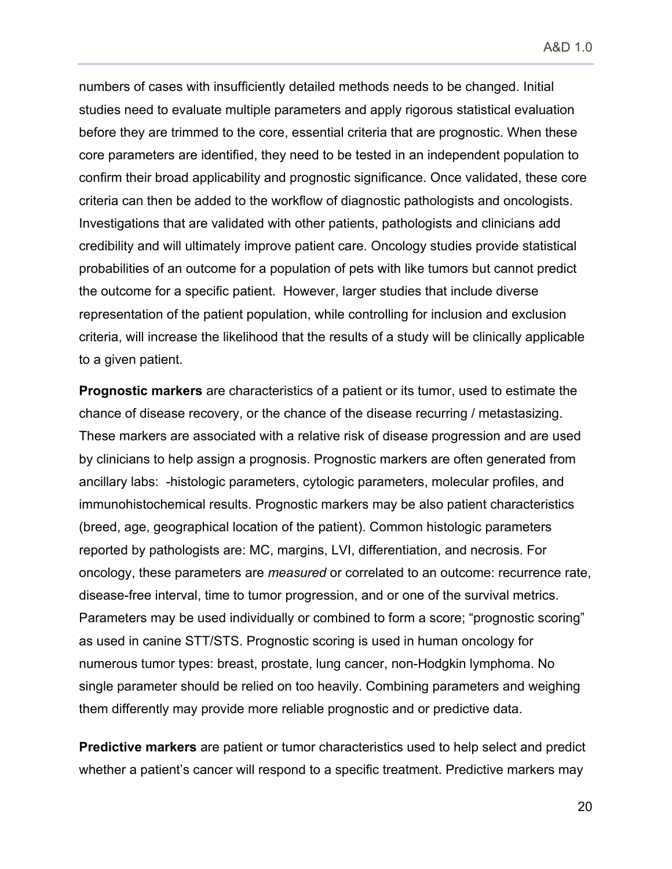A&D 1.0

numbers of cases with insufficiently detailed methods needs to be changed. Initial studies need to evaluate multiple parameters and apply rigorous statistical evaluation before they are trimmed to the core, essential criteria that are prognostic. When these core parameters are identified, they need to be tested in an independent population to confirm their broad applicability and prognostic significance. Once validated, these core criteria can then be added to the workflow of diagnostic pathologists and oncologists. Investigations that are validated with other patients, pathologists and clinicians add credibility and will ultimately improve patient care. Oncology studies provide statistical probabilities of an outcome for a population of pets with like tumors but cannot predict the outcome for a specific patient. However, larger studies that include diverse representation of the patient population, while controlling for inclusion and exclusion criteria, will increase the likelihood that the results of a study will be clinically applicable to a given patient.

**Prognostic markers** are characteristics of a patient or its tumor, used to estimate the chance of disease recovery, or the chance of the disease recurring / metastasizing. These markers are associated with a relative risk of disease progression and are used by clinicians to help assign a prognosis. Prognostic markers are often generated from ancillary labs: -histologic parameters, cytologic parameters, molecular profiles, and immunohistochemical results. Prognostic markers may be also patient characteristics (breed, age, geographical location of the patient). Common histologic parameters reported by pathologists are: MC, margins, LVI, differentiation, and necrosis. For oncology, these parameters are *measured* or correlated to an outcome: recurrence rate, disease-free interval, time to tumor progression, and or one of the survival metrics. Parameters may be used individually or combined to form a score; "prognostic scoring" as used in canine STT/STS. Prognostic scoring is used in human oncology for numerous tumor types: breast, prostate, lung cancer, non-Hodgkin lymphoma. No single parameter should be relied on too heavily. Combining parameters and weighing them differently may provide more reliable prognostic and or predictive data.

**Predictive markers** are patient or tumor characteristics used to help select and predict whether a patient's cancer will respond to a specific treatment. Predictive markers may

20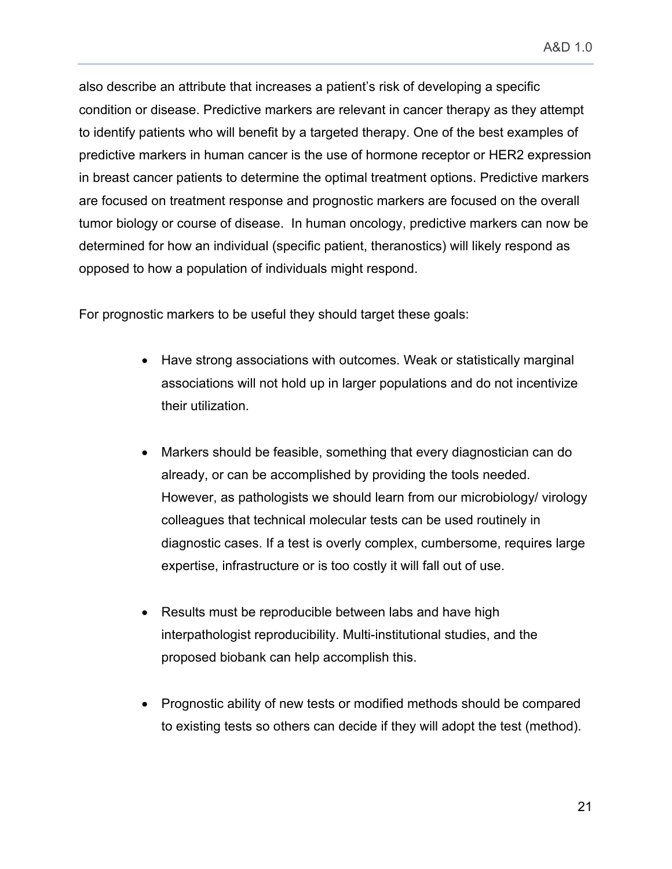A&D 1.0

also describe an attribute that increases a patient's risk of developing a specific condition or disease. Predictive markers are relevant in cancer therapy as they attempt to identify patients who will benefit by a targeted therapy. One of the best examples of predictive markers in human cancer is the use of hormone receptor or HER2 expression in breast cancer patients to determine the optimal treatment options. Predictive markers are focused on treatment response and prognostic markers are focused on the overall tumor biology or course of disease. In human oncology, predictive markers can now be determined for how an individual (specific patient, theranostics) will likely respond as opposed to how a population of individuals might respond.

For prognostic markers to be useful they should target these goals:

- Have strong associations with outcomes. Weak or statistically marginal associations will not hold up in larger populations and do not incentivize their utilization.
- Markers should be feasible, something that every diagnostician can do already, or can be accomplished by providing the tools needed. However, as pathologists we should learn from our microbiology/ virology colleagues that technical molecular tests can be used routinely in diagnostic cases. If a test is overly complex, cumbersome, requires large expertise, infrastructure or is too costly it will fall out of use.
- Results must be reproducible between labs and have high interpathologist reproducibility. Multi-institutional studies, and the proposed biobank can help accomplish this.
- Prognostic ability of new tests or modified methods should be compared to existing tests so others can decide if they will adopt the test (method).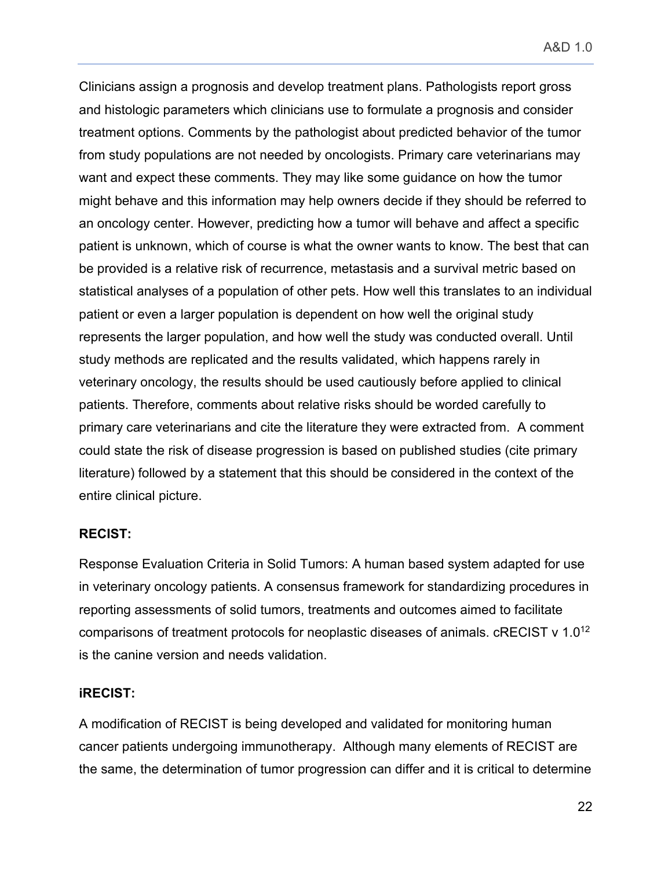Clinicians assign a prognosis and develop treatment plans. Pathologists report gross and histologic parameters which clinicians use to formulate a prognosis and consider treatment options. Comments by the pathologist about predicted behavior of the tumor from study populations are not needed by oncologists. Primary care veterinarians may want and expect these comments. They may like some guidance on how the tumor might behave and this information may help owners decide if they should be referred to an oncology center. However, predicting how a tumor will behave and affect a specific patient is unknown, which of course is what the owner wants to know. The best that can be provided is a relative risk of recurrence, metastasis and a survival metric based on statistical analyses of a population of other pets. How well this translates to an individual patient or even a larger population is dependent on how well the original study represents the larger population, and how well the study was conducted overall. Until study methods are replicated and the results validated, which happens rarely in veterinary oncology, the results should be used cautiously before applied to clinical patients. Therefore, comments about relative risks should be worded carefully to primary care veterinarians and cite the literature they were extracted from. A comment could state the risk of disease progression is based on published studies (cite primary literature) followed by a statement that this should be considered in the context of the entire clinical picture.

### **RECIST:**

Response Evaluation Criteria in Solid Tumors: A human based system adapted for use in veterinary oncology patients. A consensus framework for standardizing procedures in reporting assessments of solid tumors, treatments and outcomes aimed to facilitate comparisons of treatment protocols for neoplastic diseases of animals. cRECIST v 1.012 is the canine version and needs validation.

### **iRECIST:**

A modification of RECIST is being developed and validated for monitoring human cancer patients undergoing immunotherapy. Although many elements of RECIST are the same, the determination of tumor progression can differ and it is critical to determine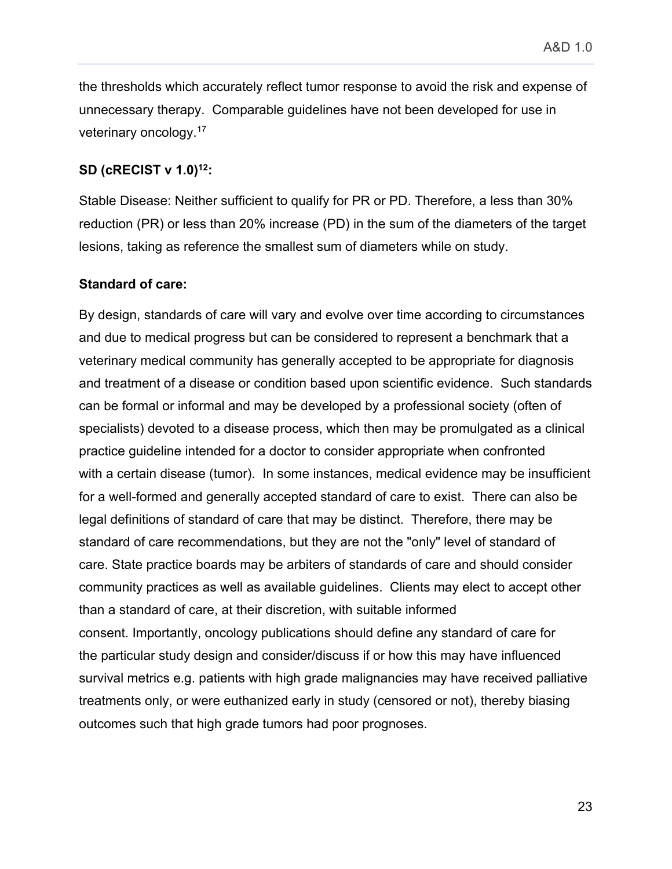the thresholds which accurately reflect tumor response to avoid the risk and expense of unnecessary therapy. Comparable guidelines have not been developed for use in veterinary oncology.17

### **SD (cRECIST v 1.0)12:**

Stable Disease: Neither sufficient to qualify for PR or PD. Therefore, a less than 30% reduction (PR) or less than 20% increase (PD) in the sum of the diameters of the target lesions, taking as reference the smallest sum of diameters while on study.

#### **Standard of care:**

By design, standards of care will vary and evolve over time according to circumstances and due to medical progress but can be considered to represent a benchmark that a veterinary medical community has generally accepted to be appropriate for diagnosis and treatment of a disease or condition based upon scientific evidence. Such standards can be formal or informal and may be developed by a professional society (often of specialists) devoted to a disease process, which then may be promulgated as a clinical practice guideline intended for a doctor to consider appropriate when confronted with a certain disease (tumor). In some instances, medical evidence may be insufficient for a well-formed and generally accepted standard of care to exist. There can also be legal definitions of standard of care that may be distinct. Therefore, there may be standard of care recommendations, but they are not the "only" level of standard of care. State practice boards may be arbiters of standards of care and should consider community practices as well as available guidelines. Clients may elect to accept other than a standard of care, at their discretion, with suitable informed consent. Importantly, oncology publications should define any standard of care for the particular study design and consider/discuss if or how this may have influenced survival metrics e.g. patients with high grade malignancies may have received palliative treatments only, or were euthanized early in study (censored or not), thereby biasing outcomes such that high grade tumors had poor prognoses.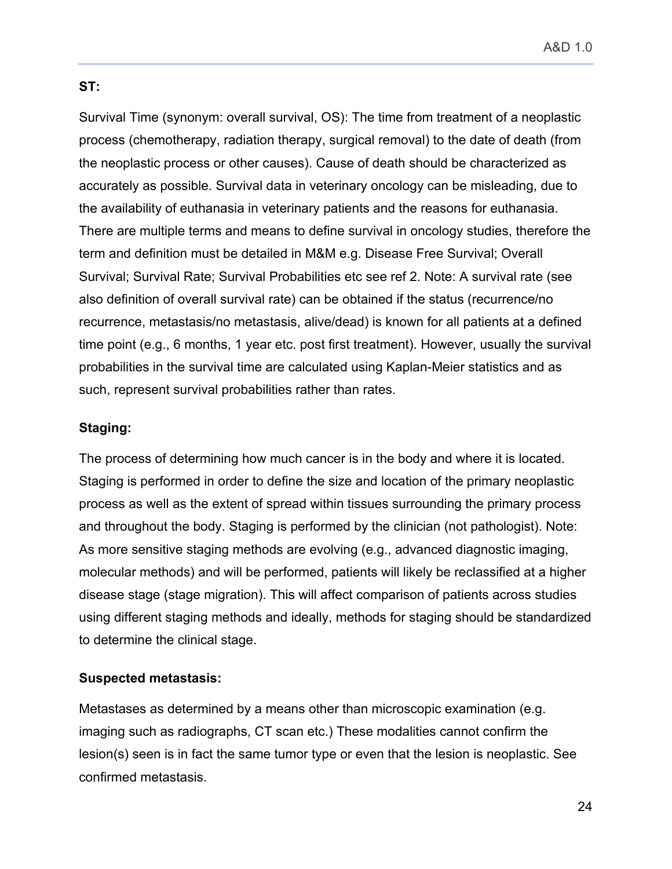### **ST:**

Survival Time (synonym: overall survival, OS): The time from treatment of a neoplastic process (chemotherapy, radiation therapy, surgical removal) to the date of death (from the neoplastic process or other causes). Cause of death should be characterized as accurately as possible. Survival data in veterinary oncology can be misleading, due to the availability of euthanasia in veterinary patients and the reasons for euthanasia. There are multiple terms and means to define survival in oncology studies, therefore the term and definition must be detailed in M&M e.g. Disease Free Survival; Overall Survival; Survival Rate; Survival Probabilities etc see ref 2. Note: A survival rate (see also definition of overall survival rate) can be obtained if the status (recurrence/no recurrence, metastasis/no metastasis, alive/dead) is known for all patients at a defined time point (e.g., 6 months, 1 year etc. post first treatment). However, usually the survival probabilities in the survival time are calculated using Kaplan-Meier statistics and as such, represent survival probabilities rather than rates.

### **Staging:**

The process of determining how much cancer is in the body and where it is located. Staging is performed in order to define the size and location of the primary neoplastic process as well as the extent of spread within tissues surrounding the primary process and throughout the body. Staging is performed by the clinician (not pathologist). Note: As more sensitive staging methods are evolving (e.g., advanced diagnostic imaging, molecular methods) and will be performed, patients will likely be reclassified at a higher disease stage (stage migration). This will affect comparison of patients across studies using different staging methods and ideally, methods for staging should be standardized to determine the clinical stage.

### **Suspected metastasis:**

Metastases as determined by a means other than microscopic examination (e.g. imaging such as radiographs, CT scan etc.) These modalities cannot confirm the lesion(s) seen is in fact the same tumor type or even that the lesion is neoplastic. See confirmed metastasis.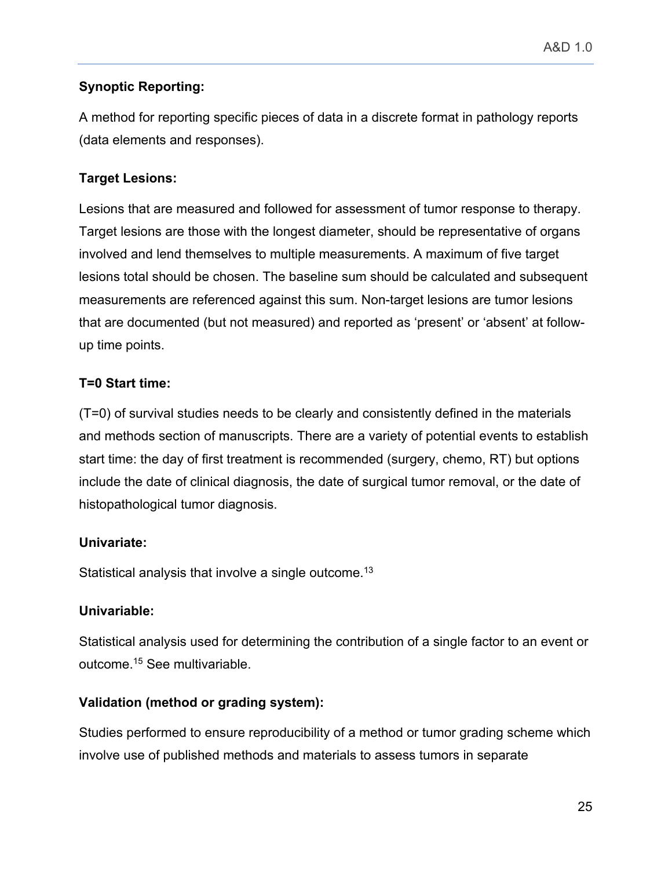## **Synoptic Reporting:**

A method for reporting specific pieces of data in a discrete format in pathology reports (data elements and responses).

# **Target Lesions:**

Lesions that are measured and followed for assessment of tumor response to therapy. Target lesions are those with the longest diameter, should be representative of organs involved and lend themselves to multiple measurements. A maximum of five target lesions total should be chosen. The baseline sum should be calculated and subsequent measurements are referenced against this sum. Non-target lesions are tumor lesions that are documented (but not measured) and reported as 'present' or 'absent' at followup time points.

## **T=0 Start time:**

(T=0) of survival studies needs to be clearly and consistently defined in the materials and methods section of manuscripts. There are a variety of potential events to establish start time: the day of first treatment is recommended (surgery, chemo, RT) but options include the date of clinical diagnosis, the date of surgical tumor removal, or the date of histopathological tumor diagnosis.

## **Univariate:**

Statistical analysis that involve a single outcome.<sup>13</sup>

## **Univariable:**

Statistical analysis used for determining the contribution of a single factor to an event or outcome.15 See multivariable.

# **Validation (method or grading system):**

Studies performed to ensure reproducibility of a method or tumor grading scheme which involve use of published methods and materials to assess tumors in separate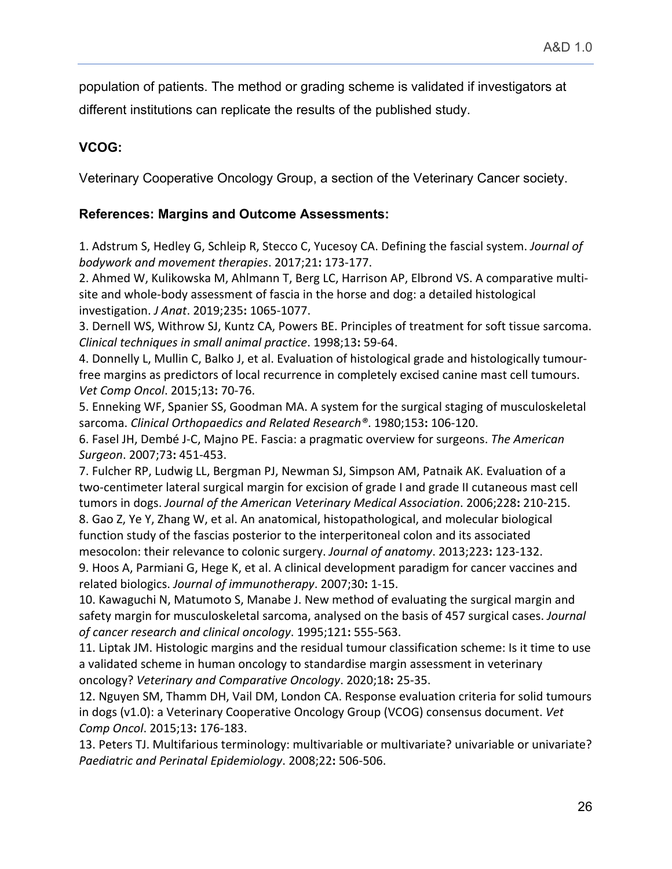population of patients. The method or grading scheme is validated if investigators at different institutions can replicate the results of the published study.

## **VCOG:**

Veterinary Cooperative Oncology Group, a section of the Veterinary Cancer society.

### **References: Margins and Outcome Assessments:**

1. Adstrum S, Hedley G, Schleip R, Stecco C, Yucesoy CA. Defining the fascial system. *Journal of bodywork and movement therapies*. 2017;21**:** 173-177.

2. Ahmed W, Kulikowska M, Ahlmann T, Berg LC, Harrison AP, Elbrond VS. A comparative multisite and whole-body assessment of fascia in the horse and dog: a detailed histological investigation. *J Anat*. 2019;235**:** 1065-1077.

3. Dernell WS, Withrow SJ, Kuntz CA, Powers BE. Principles of treatment for soft tissue sarcoma. *Clinical techniques in small animal practice*. 1998;13**:** 59-64.

4. Donnelly L, Mullin C, Balko J, et al. Evaluation of histological grade and histologically tumourfree margins as predictors of local recurrence in completely excised canine mast cell tumours. *Vet Comp Oncol*. 2015;13**:** 70-76.

5. Enneking WF, Spanier SS, Goodman MA. A system for the surgical staging of musculoskeletal sarcoma. *Clinical Orthopaedics and Related Research®*. 1980;153**:** 106-120.

6. Fasel JH, Dembé J-C, Majno PE. Fascia: a pragmatic overview for surgeons. *The American Surgeon*. 2007;73**:** 451-453.

7. Fulcher RP, Ludwig LL, Bergman PJ, Newman SJ, Simpson AM, Patnaik AK. Evaluation of a two-centimeter lateral surgical margin for excision of grade I and grade II cutaneous mast cell tumors in dogs. *Journal of the American Veterinary Medical Association*. 2006;228**:** 210-215. 8. Gao Z, Ye Y, Zhang W, et al. An anatomical, histopathological, and molecular biological function study of the fascias posterior to the interperitoneal colon and its associated mesocolon: their relevance to colonic surgery. *Journal of anatomy*. 2013;223**:** 123-132.

9. Hoos A, Parmiani G, Hege K, et al. A clinical development paradigm for cancer vaccines and related biologics. *Journal of immunotherapy*. 2007;30**:** 1-15.

10. Kawaguchi N, Matumoto S, Manabe J. New method of evaluating the surgical margin and safety margin for musculoskeletal sarcoma, analysed on the basis of 457 surgical cases. *Journal of cancer research and clinical oncology*. 1995;121**:** 555-563.

11. Liptak JM. Histologic margins and the residual tumour classification scheme: Is it time to use a validated scheme in human oncology to standardise margin assessment in veterinary oncology? *Veterinary and Comparative Oncology*. 2020;18**:** 25-35.

12. Nguyen SM, Thamm DH, Vail DM, London CA. Response evaluation criteria for solid tumours in dogs (v1.0): a Veterinary Cooperative Oncology Group (VCOG) consensus document. *Vet Comp Oncol*. 2015;13**:** 176-183.

13. Peters TJ. Multifarious terminology: multivariable or multivariate? univariable or univariate? *Paediatric and Perinatal Epidemiology*. 2008;22**:** 506-506.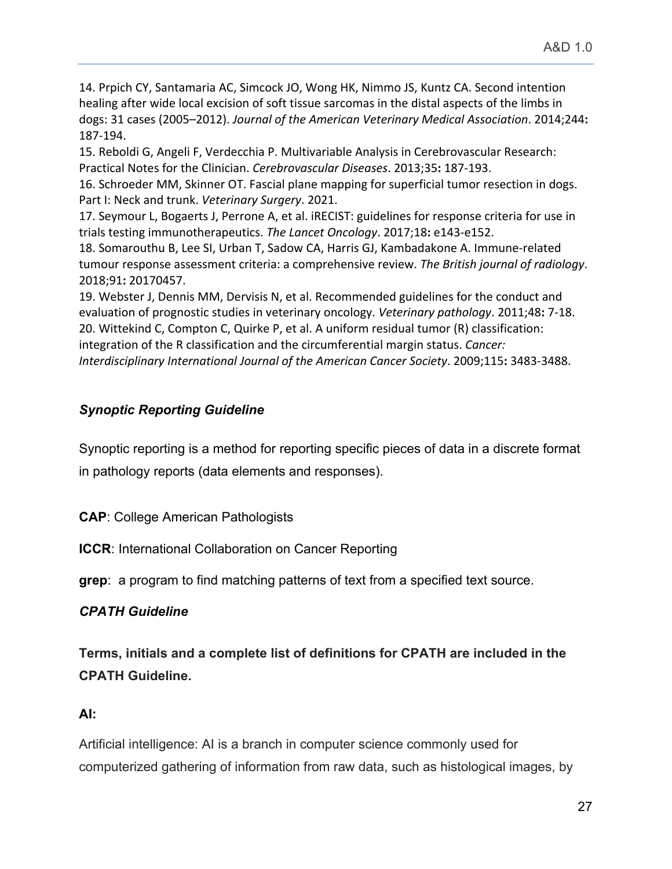14. Prpich CY, Santamaria AC, Simcock JO, Wong HK, Nimmo JS, Kuntz CA. Second intention healing after wide local excision of soft tissue sarcomas in the distal aspects of the limbs in dogs: 31 cases (2005–2012). *Journal of the American Veterinary Medical Association*. 2014;244**:**  187-194.

15. Reboldi G, Angeli F, Verdecchia P. Multivariable Analysis in Cerebrovascular Research: Practical Notes for the Clinician. *Cerebrovascular Diseases*. 2013;35**:** 187-193.

16. Schroeder MM, Skinner OT. Fascial plane mapping for superficial tumor resection in dogs. Part I: Neck and trunk. *Veterinary Surgery*. 2021.

17. Seymour L, Bogaerts J, Perrone A, et al. iRECIST: guidelines for response criteria for use in trials testing immunotherapeutics. *The Lancet Oncology*. 2017;18**:** e143-e152.

18. Somarouthu B, Lee SI, Urban T, Sadow CA, Harris GJ, Kambadakone A. Immune-related tumour response assessment criteria: a comprehensive review. *The British journal of radiology*. 2018;91**:** 20170457.

19. Webster J, Dennis MM, Dervisis N, et al. Recommended guidelines for the conduct and evaluation of prognostic studies in veterinary oncology. *Veterinary pathology*. 2011;48**:** 7-18. 20. Wittekind C, Compton C, Quirke P, et al. A uniform residual tumor (R) classification: integration of the R classification and the circumferential margin status. *Cancer: Interdisciplinary International Journal of the American Cancer Society*. 2009;115**:** 3483-3488.

# *Synoptic Reporting Guideline*

Synoptic reporting is a method for reporting specific pieces of data in a discrete format in pathology reports (data elements and responses).

**CAP**: College American Pathologists

**ICCR:** International Collaboration on Cancer Reporting

**grep**: a program to find matching patterns of text from a specified text source.

# *CPATH Guideline*

**Terms, initials and a complete list of definitions for CPATH are included in the CPATH Guideline.**

# **AI:**

Artificial intelligence: AI is a branch in computer science commonly used for computerized gathering of information from raw data, such as histological images, by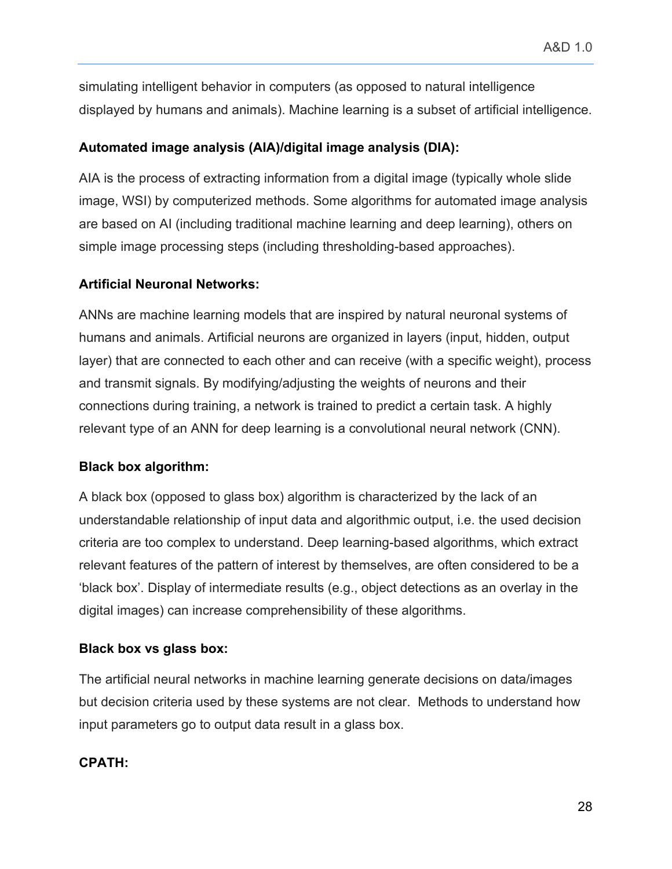simulating intelligent behavior in computers (as opposed to natural intelligence displayed by humans and animals). Machine learning is a subset of artificial intelligence.

## **Automated image analysis (AIA)/digital image analysis (DIA):**

AIA is the process of extracting information from a digital image (typically whole slide image, WSI) by computerized methods. Some algorithms for automated image analysis are based on AI (including traditional machine learning and deep learning), others on simple image processing steps (including thresholding-based approaches).

## **Artificial Neuronal Networks:**

ANNs are machine learning models that are inspired by natural neuronal systems of humans and animals. Artificial neurons are organized in layers (input, hidden, output layer) that are connected to each other and can receive (with a specific weight), process and transmit signals. By modifying/adjusting the weights of neurons and their connections during training, a network is trained to predict a certain task. A highly relevant type of an ANN for deep learning is a convolutional neural network (CNN).

# **Black box algorithm:**

A black box (opposed to glass box) algorithm is characterized by the lack of an understandable relationship of input data and algorithmic output, i.e. the used decision criteria are too complex to understand. Deep learning-based algorithms, which extract relevant features of the pattern of interest by themselves, are often considered to be a 'black box'. Display of intermediate results (e.g., object detections as an overlay in the digital images) can increase comprehensibility of these algorithms.

## **Black box vs glass box:**

The artificial neural networks in machine learning generate decisions on data/images but decision criteria used by these systems are not clear. Methods to understand how input parameters go to output data result in a glass box.

# **CPATH:**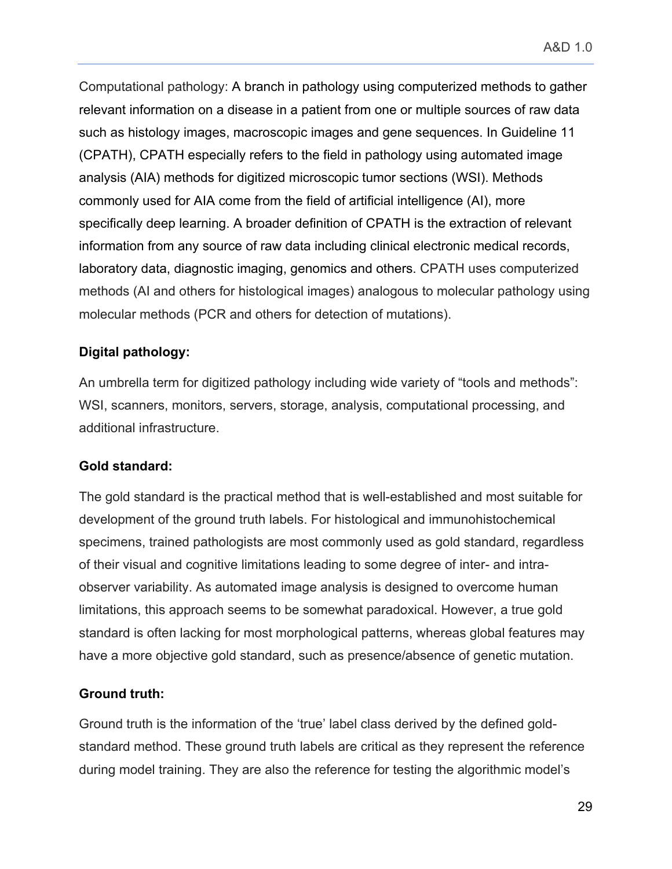Computational pathology: A branch in pathology using computerized methods to gather relevant information on a disease in a patient from one or multiple sources of raw data such as histology images, macroscopic images and gene sequences. In Guideline 11 (CPATH), CPATH especially refers to the field in pathology using automated image analysis (AIA) methods for digitized microscopic tumor sections (WSI). Methods commonly used for AIA come from the field of artificial intelligence (AI), more specifically deep learning. A broader definition of CPATH is the extraction of relevant information from any source of raw data including clinical electronic medical records, laboratory data, diagnostic imaging, genomics and others. CPATH uses computerized methods (AI and others for histological images) analogous to molecular pathology using molecular methods (PCR and others for detection of mutations).

### **Digital pathology:**

An umbrella term for digitized pathology including wide variety of "tools and methods": WSI, scanners, monitors, servers, storage, analysis, computational processing, and additional infrastructure.

### **Gold standard:**

The gold standard is the practical method that is well-established and most suitable for development of the ground truth labels. For histological and immunohistochemical specimens, trained pathologists are most commonly used as gold standard, regardless of their visual and cognitive limitations leading to some degree of inter- and intraobserver variability. As automated image analysis is designed to overcome human limitations, this approach seems to be somewhat paradoxical. However, a true gold standard is often lacking for most morphological patterns, whereas global features may have a more objective gold standard, such as presence/absence of genetic mutation.

### **Ground truth:**

Ground truth is the information of the 'true' label class derived by the defined goldstandard method. These ground truth labels are critical as they represent the reference during model training. They are also the reference for testing the algorithmic model's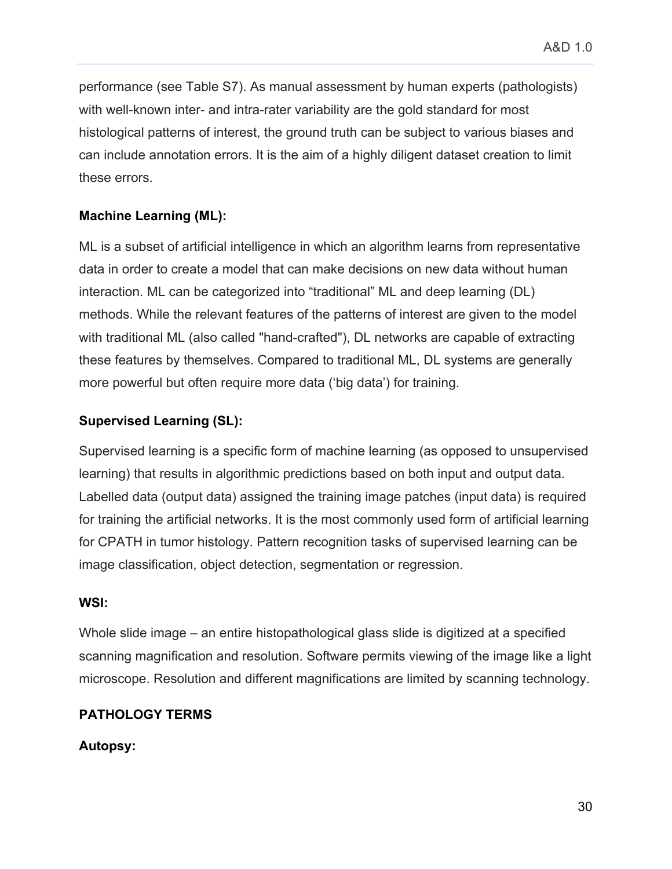performance (see Table S7). As manual assessment by human experts (pathologists) with well-known inter- and intra-rater variability are the gold standard for most histological patterns of interest, the ground truth can be subject to various biases and can include annotation errors. It is the aim of a highly diligent dataset creation to limit these errors.

# **Machine Learning (ML):**

ML is a subset of artificial intelligence in which an algorithm learns from representative data in order to create a model that can make decisions on new data without human interaction. ML can be categorized into "traditional" ML and deep learning (DL) methods. While the relevant features of the patterns of interest are given to the model with traditional ML (also called "hand-crafted"), DL networks are capable of extracting these features by themselves. Compared to traditional ML, DL systems are generally more powerful but often require more data ('big data') for training.

## **Supervised Learning (SL):**

Supervised learning is a specific form of machine learning (as opposed to unsupervised learning) that results in algorithmic predictions based on both input and output data. Labelled data (output data) assigned the training image patches (input data) is required for training the artificial networks. It is the most commonly used form of artificial learning for CPATH in tumor histology. Pattern recognition tasks of supervised learning can be image classification, object detection, segmentation or regression.

### **WSI:**

Whole slide image – an entire histopathological glass slide is digitized at a specified scanning magnification and resolution. Software permits viewing of the image like a light microscope. Resolution and different magnifications are limited by scanning technology.

## **PATHOLOGY TERMS**

## **Autopsy:**